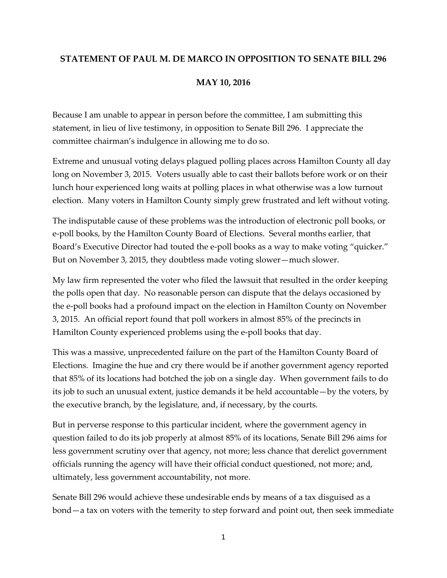## **STATEMENT OF PAUL M. DE MARCO IN OPPOSITION TO SENATE BILL 296**

## **MAY 10, 2016**

Because I am unable to appear in person before the committee, I am submitting this statement, in lieu of live testimony, in opposition to Senate Bill 296. I appreciate the committee chairman's indulgence in allowing me to do so.

Extreme and unusual voting delays plagued polling places across Hamilton County all day long on November 3, 2015. Voters usually able to cast their ballots before work or on their lunch hour experienced long waits at polling places in what otherwise was a low turnout election. Many voters in Hamilton County simply grew frustrated and left without voting.

The indisputable cause of these problems was the introduction of electronic poll books, or e-poll books, by the Hamilton County Board of Elections. Several months earlier, that Board's Executive Director had touted the e-poll books as a way to make voting "quicker." But on November 3, 2015, they doubtless made voting slower—much slower.

My law firm represented the voter who filed the lawsuit that resulted in the order keeping the polls open that day. No reasonable person can dispute that the delays occasioned by the e-poll books had a profound impact on the election in Hamilton County on November 3, 2015. An official report found that poll workers in almost 85% of the precincts in Hamilton County experienced problems using the e-poll books that day.

This was a massive, unprecedented failure on the part of the Hamilton County Board of Elections. Imagine the hue and cry there would be if another government agency reported that 85% of its locations had botched the job on a single day. When government fails to do its job to such an unusual extent, justice demands it be held accountable—by the voters, by the executive branch, by the legislature, and, if necessary, by the courts.

But in perverse response to this particular incident, where the government agency in question failed to do its job properly at almost 85% of its locations, Senate Bill 296 aims for less government scrutiny over that agency, not more; less chance that derelict government officials running the agency will have their official conduct questioned, not more; and, ultimately, less government accountability, not more.

Senate Bill 296 would achieve these undesirable ends by means of a tax disguised as a bond—a tax on voters with the temerity to step forward and point out, then seek immediate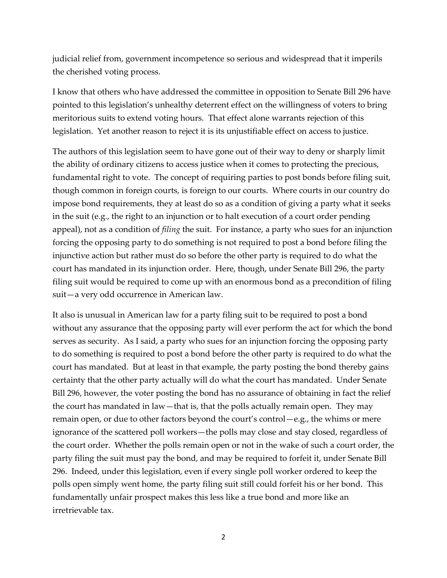judicial relief from, government incompetence so serious and widespread that it imperils the cherished voting process.

I know that others who have addressed the committee in opposition to Senate Bill 296 have pointed to this legislation's unhealthy deterrent effect on the willingness of voters to bring meritorious suits to extend voting hours. That effect alone warrants rejection of this legislation. Yet another reason to reject it is its unjustifiable effect on access to justice.

The authors of this legislation seem to have gone out of their way to deny or sharply limit the ability of ordinary citizens to access justice when it comes to protecting the precious, fundamental right to vote. The concept of requiring parties to post bonds before filing suit, though common in foreign courts, is foreign to our courts. Where courts in our country do impose bond requirements, they at least do so as a condition of giving a party what it seeks in the suit (e.g., the right to an injunction or to halt execution of a court order pending appeal), not as a condition of *filing* the suit. For instance, a party who sues for an injunction forcing the opposing party to do something is not required to post a bond before filing the injunctive action but rather must do so before the other party is required to do what the court has mandated in its injunction order. Here, though, under Senate Bill 296, the party filing suit would be required to come up with an enormous bond as a precondition of filing suit—a very odd occurrence in American law.

It also is unusual in American law for a party filing suit to be required to post a bond without any assurance that the opposing party will ever perform the act for which the bond serves as security. As I said, a party who sues for an injunction forcing the opposing party to do something is required to post a bond before the other party is required to do what the court has mandated. But at least in that example, the party posting the bond thereby gains certainty that the other party actually will do what the court has mandated. Under Senate Bill 296, however, the voter posting the bond has no assurance of obtaining in fact the relief the court has mandated in law—that is, that the polls actually remain open. They may remain open, or due to other factors beyond the court's control—e.g., the whims or mere ignorance of the scattered poll workers—the polls may close and stay closed, regardless of the court order. Whether the polls remain open or not in the wake of such a court order, the party filing the suit must pay the bond, and may be required to forfeit it, under Senate Bill 296. Indeed, under this legislation, even if every single poll worker ordered to keep the polls open simply went home, the party filing suit still could forfeit his or her bond. This fundamentally unfair prospect makes this less like a true bond and more like an irretrievable tax.